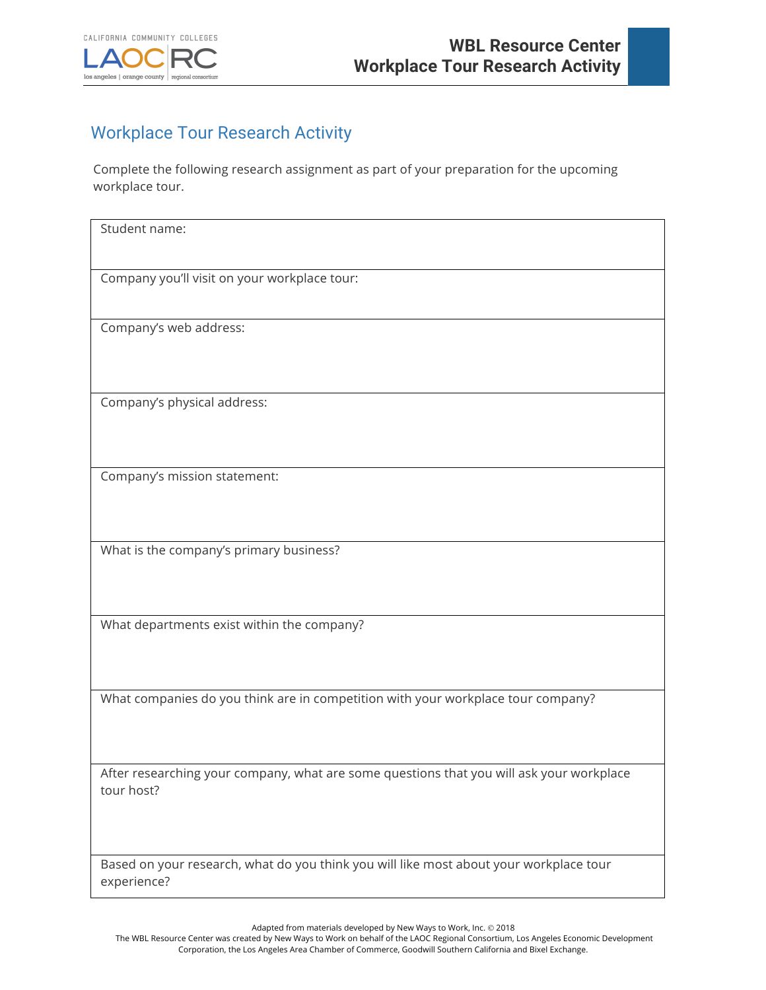

## Workplace Tour Research Activity

Complete the following research assignment as part of your preparation for the upcoming workplace tour.

| Student name:                                                                            |
|------------------------------------------------------------------------------------------|
|                                                                                          |
| Company you'll visit on your workplace tour:                                             |
|                                                                                          |
| Company's web address:                                                                   |
|                                                                                          |
| Company's physical address:                                                              |
| Company's mission statement:                                                             |
|                                                                                          |
| What is the company's primary business?                                                  |
|                                                                                          |
| What departments exist within the company?                                               |
|                                                                                          |
| What companies do you think are in competition with your workplace tour company?         |
|                                                                                          |
| After researching your company, what are some questions that you will ask your workplace |
| tour host?                                                                               |
|                                                                                          |
| Based on your research, what do you think you will like most about your workplace tour   |
| experience?                                                                              |

Adapted from materials developed by New Ways to Work, Inc. © 2018

The WBL Resource Center was created by New Ways to Work on behalf of the LAOC Regional Consortium, Los Angeles Economic Development Corporation, the Los Angeles Area Chamber of Commerce, Goodwill Southern California and Bixel Exchange.